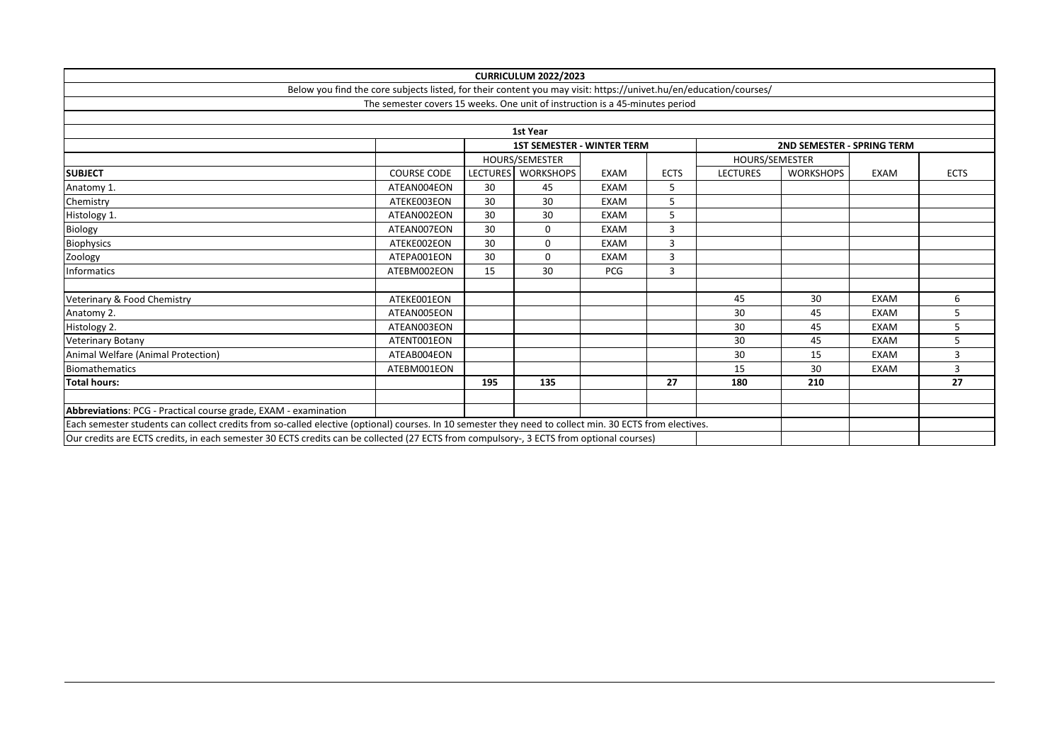|                                                                                                                                                         |                                                                                                                   |                 | <b>CURRICULUM 2022/2023</b>       |             |             |                 |                                   |             |             |
|---------------------------------------------------------------------------------------------------------------------------------------------------------|-------------------------------------------------------------------------------------------------------------------|-----------------|-----------------------------------|-------------|-------------|-----------------|-----------------------------------|-------------|-------------|
|                                                                                                                                                         | Below you find the core subjects listed, for their content you may visit: https://univet.hu/en/education/courses/ |                 |                                   |             |             |                 |                                   |             |             |
|                                                                                                                                                         | The semester covers 15 weeks. One unit of instruction is a 45-minutes period                                      |                 |                                   |             |             |                 |                                   |             |             |
|                                                                                                                                                         |                                                                                                                   |                 |                                   |             |             |                 |                                   |             |             |
|                                                                                                                                                         |                                                                                                                   |                 | 1st Year                          |             |             |                 |                                   |             |             |
|                                                                                                                                                         |                                                                                                                   |                 | <b>1ST SEMESTER - WINTER TERM</b> |             |             |                 | <b>2ND SEMESTER - SPRING TERM</b> |             |             |
|                                                                                                                                                         |                                                                                                                   |                 | HOURS/SEMESTER                    |             |             | HOURS/SEMESTER  |                                   |             |             |
| <b>SUBJECT</b>                                                                                                                                          | <b>COURSE CODE</b>                                                                                                | <b>LECTURES</b> | <b>WORKSHOPS</b>                  | <b>EXAM</b> | <b>ECTS</b> | <b>LECTURES</b> | <b>WORKSHOPS</b>                  | <b>EXAM</b> | <b>ECTS</b> |
| Anatomy 1.                                                                                                                                              | ATEAN004EON                                                                                                       | 30              | 45                                | <b>EXAM</b> | 5           |                 |                                   |             |             |
| Chemistry                                                                                                                                               | ATEKE003EON                                                                                                       | 30              | 30                                | <b>EXAM</b> | 5           |                 |                                   |             |             |
| Histology 1.                                                                                                                                            | ATEAN002EON                                                                                                       | 30              | 30                                | <b>EXAM</b> | 5           |                 |                                   |             |             |
| Biology                                                                                                                                                 | ATEAN007EON                                                                                                       | 30              | $\mathbf 0$                       | <b>EXAM</b> | 3           |                 |                                   |             |             |
| Biophysics                                                                                                                                              | ATEKE002EON                                                                                                       | 30              | 0                                 | <b>EXAM</b> | 3           |                 |                                   |             |             |
| Zoology                                                                                                                                                 | ATEPA001EON                                                                                                       | 30              | $\mathbf 0$                       | <b>EXAM</b> | 3           |                 |                                   |             |             |
| <b>Informatics</b>                                                                                                                                      | ATEBM002EON                                                                                                       | 15              | 30                                | <b>PCG</b>  | 3           |                 |                                   |             |             |
|                                                                                                                                                         |                                                                                                                   |                 |                                   |             |             |                 |                                   |             |             |
| Veterinary & Food Chemistry                                                                                                                             | ATEKE001EON                                                                                                       |                 |                                   |             |             | 45              | 30                                | <b>EXAM</b> | 6           |
| Anatomy 2.                                                                                                                                              | ATEAN005EON                                                                                                       |                 |                                   |             |             | 30              | 45                                | <b>EXAM</b> | 5           |
| Histology 2.                                                                                                                                            | ATEAN003EON                                                                                                       |                 |                                   |             |             | 30              | 45                                | <b>EXAM</b> | 5           |
| <b>Veterinary Botany</b>                                                                                                                                | ATENT001EON                                                                                                       |                 |                                   |             |             | 30              | 45                                | <b>EXAM</b> | 5           |
| Animal Welfare (Animal Protection)                                                                                                                      | ATEAB004EON                                                                                                       |                 |                                   |             |             | 30              | 15                                | <b>EXAM</b> | 3           |
| <b>Biomathematics</b>                                                                                                                                   | ATEBM001EON                                                                                                       |                 |                                   |             |             | 15              | 30                                | <b>EXAM</b> | 3           |
| <b>Total hours:</b>                                                                                                                                     |                                                                                                                   | 195             | 135                               |             | 27          | 180             | 210                               |             | 27          |
|                                                                                                                                                         |                                                                                                                   |                 |                                   |             |             |                 |                                   |             |             |
| Abbreviations: PCG - Practical course grade, EXAM - examination                                                                                         |                                                                                                                   |                 |                                   |             |             |                 |                                   |             |             |
| Each semester students can collect credits from so-called elective (optional) courses. In 10 semester they need to collect min. 30 ECTS from electives. |                                                                                                                   |                 |                                   |             |             |                 |                                   |             |             |
| Our credits are ECTS credits, in each semester 30 ECTS credits can be collected (27 ECTS from compulsory-, 3 ECTS from optional courses)                |                                                                                                                   |                 |                                   |             |             |                 |                                   |             |             |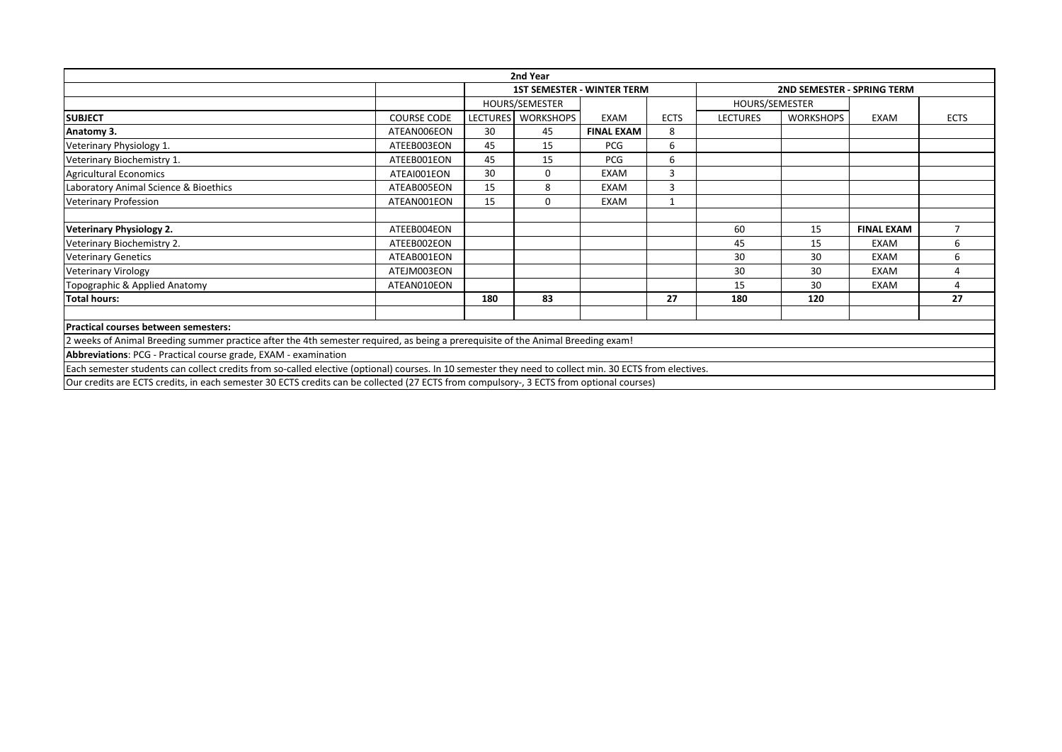|                                                                                                                                                         |                    |     | 2nd Year           |                                   |             |                 |                                   |                   |                          |
|---------------------------------------------------------------------------------------------------------------------------------------------------------|--------------------|-----|--------------------|-----------------------------------|-------------|-----------------|-----------------------------------|-------------------|--------------------------|
|                                                                                                                                                         |                    |     |                    | <b>1ST SEMESTER - WINTER TERM</b> |             |                 | <b>2ND SEMESTER - SPRING TERM</b> |                   |                          |
|                                                                                                                                                         |                    |     | HOURS/SEMESTER     |                                   |             | HOURS/SEMESTER  |                                   |                   |                          |
| <b>SUBJECT</b>                                                                                                                                          | <b>COURSE CODE</b> |     | LECTURES WORKSHOPS | EXAM                              | <b>ECTS</b> | <b>LECTURES</b> | <b>WORKSHOPS</b>                  | EXAM              | <b>ECTS</b>              |
| Anatomy 3.                                                                                                                                              | ATEAN006EON        | 30  | 45                 | <b>FINAL EXAM</b>                 | 8           |                 |                                   |                   |                          |
| Veterinary Physiology 1.                                                                                                                                | ATEEB003EON        | 45  | 15                 | PCG                               | 6           |                 |                                   |                   |                          |
| Veterinary Biochemistry 1.                                                                                                                              | ATEEB001EON        | 45  | 15                 | <b>PCG</b>                        | 6           |                 |                                   |                   |                          |
| <b>Agricultural Economics</b>                                                                                                                           | ATEAI001EON        | 30  | $\Omega$           | EXAM                              |             |                 |                                   |                   |                          |
| Laboratory Animal Science & Bioethics                                                                                                                   | ATEAB005EON        | 15  | 8                  | <b>EXAM</b>                       | 3           |                 |                                   |                   |                          |
| <b>Veterinary Profession</b>                                                                                                                            | ATEAN001EON        | 15  | $\Omega$           | EXAM                              |             |                 |                                   |                   |                          |
|                                                                                                                                                         |                    |     |                    |                                   |             |                 |                                   |                   |                          |
| Veterinary Physiology 2.                                                                                                                                | ATEEB004EON        |     |                    |                                   |             | 60              | 15                                | <b>FINAL EXAM</b> | $\overline{\phantom{a}}$ |
| Veterinary Biochemistry 2.                                                                                                                              | ATEEB002EON        |     |                    |                                   |             | 45              | 15                                | EXAM              | 6                        |
| <b>Veterinary Genetics</b>                                                                                                                              | ATEAB001EON        |     |                    |                                   |             | 30              | 30                                | <b>EXAM</b>       | 6                        |
| <b>Veterinary Virology</b>                                                                                                                              | ATEJM003EON        |     |                    |                                   |             | 30              | 30                                | <b>EXAM</b>       |                          |
| Topographic & Applied Anatomy                                                                                                                           | ATEAN010EON        |     |                    |                                   |             | 15              | 30                                | <b>EXAM</b>       | 4                        |
| <b>Total hours:</b>                                                                                                                                     |                    | 180 | 83                 |                                   | 27          | 180             | 120                               |                   | 27                       |
|                                                                                                                                                         |                    |     |                    |                                   |             |                 |                                   |                   |                          |
| Practical courses between semesters:                                                                                                                    |                    |     |                    |                                   |             |                 |                                   |                   |                          |
| 2 weeks of Animal Breeding summer practice after the 4th semester required, as being a prerequisite of the Animal Breeding exam!                        |                    |     |                    |                                   |             |                 |                                   |                   |                          |
| Abbreviations: PCG - Practical course grade, EXAM - examination                                                                                         |                    |     |                    |                                   |             |                 |                                   |                   |                          |
| Each semester students can collect credits from so-called elective (optional) courses. In 10 semester they need to collect min. 30 ECTS from electives. |                    |     |                    |                                   |             |                 |                                   |                   |                          |
|                                                                                                                                                         |                    |     |                    |                                   |             |                 |                                   |                   |                          |

Our credits are ECTS credits, in each semester 30 ECTS credits can be collected (27 ECTS from compulsory-, 3 ECTS from optional courses)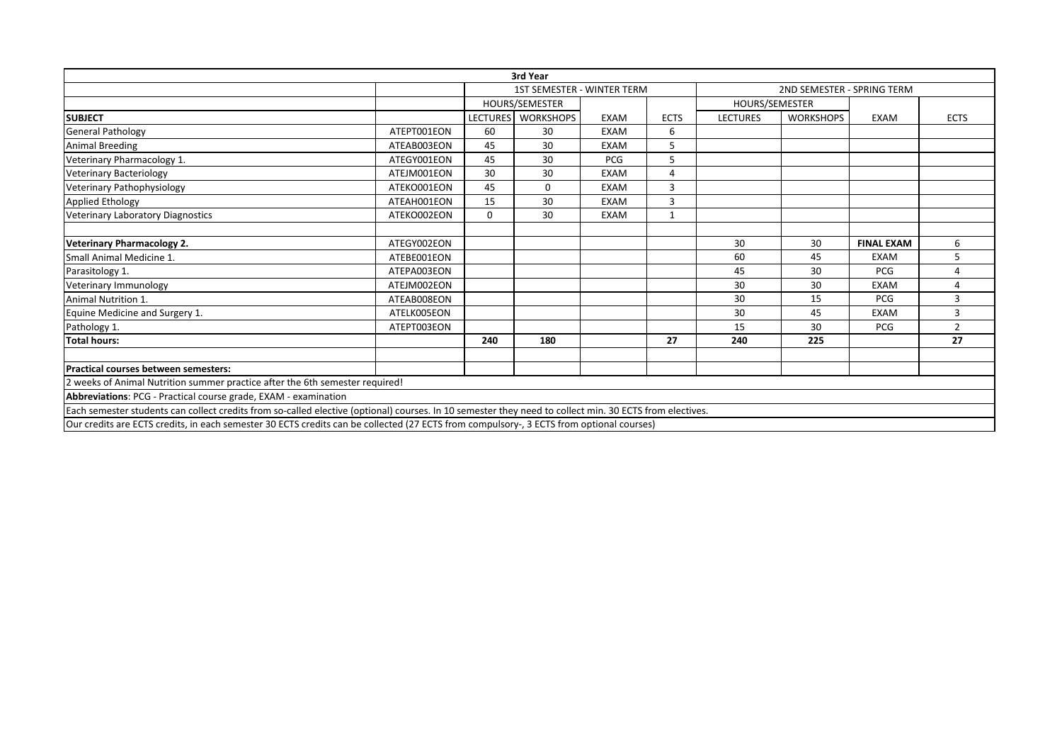|                                                                                                                                                         |             |                 | 3rd Year                          |                |              |                 |                            |                   |                |
|---------------------------------------------------------------------------------------------------------------------------------------------------------|-------------|-----------------|-----------------------------------|----------------|--------------|-----------------|----------------------------|-------------------|----------------|
|                                                                                                                                                         |             |                 | <b>1ST SEMESTER - WINTER TERM</b> |                |              |                 | 2ND SEMESTER - SPRING TERM |                   |                |
|                                                                                                                                                         |             | HOURS/SEMESTER  |                                   | HOURS/SEMESTER |              |                 |                            |                   |                |
| <b>SUBJECT</b>                                                                                                                                          |             | <b>LECTURES</b> | <b>WORKSHOPS</b>                  | EXAM           | <b>ECTS</b>  | <b>LECTURES</b> | <b>WORKSHOPS</b>           | <b>EXAM</b>       | <b>ECTS</b>    |
| <b>General Pathology</b>                                                                                                                                | ATEPT001EON | 60              | 30                                | <b>EXAM</b>    | 6            |                 |                            |                   |                |
| <b>Animal Breeding</b>                                                                                                                                  | ATEAB003EON | 45              | 30                                | EXAM           | 5            |                 |                            |                   |                |
| Veterinary Pharmacology 1.                                                                                                                              | ATEGY001EON | 45              | 30                                | <b>PCG</b>     | 5            |                 |                            |                   |                |
| <b>Veterinary Bacteriology</b>                                                                                                                          | ATEJM001EON | 30              | 30                                | <b>EXAM</b>    | 4            |                 |                            |                   |                |
| Veterinary Pathophysiology                                                                                                                              | ATEKO001EON | 45              | $\Omega$                          | <b>EXAM</b>    | 3            |                 |                            |                   |                |
| <b>Applied Ethology</b>                                                                                                                                 | ATEAH001EON | 15              | 30                                | <b>EXAM</b>    | 3            |                 |                            |                   |                |
| Veterinary Laboratory Diagnostics                                                                                                                       | ATEKO002EON | $\mathbf 0$     | 30                                | EXAM           | $\mathbf{1}$ |                 |                            |                   |                |
| <b>Veterinary Pharmacology 2.</b>                                                                                                                       | ATEGY002EON |                 |                                   |                |              | 30              | 30                         | <b>FINAL EXAM</b> | 6              |
| Small Animal Medicine 1.                                                                                                                                | ATEBE001EON |                 |                                   |                |              | 60              | 45                         | <b>EXAM</b>       |                |
| Parasitology 1.                                                                                                                                         | ATEPA003EON |                 |                                   |                |              | 45              | 30                         | PCG               | 4              |
| Veterinary Immunology                                                                                                                                   | ATEJM002EON |                 |                                   |                |              | 30              | 30                         | <b>EXAM</b>       | 4              |
| Animal Nutrition 1.                                                                                                                                     | ATEAB008EON |                 |                                   |                |              | 30              | 15                         | PCG               | 3              |
| Equine Medicine and Surgery 1.                                                                                                                          | ATELK005EON |                 |                                   |                |              | 30              | 45                         | <b>EXAM</b>       | 3              |
| Pathology 1.                                                                                                                                            | ATEPT003EON |                 |                                   |                |              | 15              | 30                         | PCG               | $\overline{2}$ |
| <b>Total hours:</b>                                                                                                                                     |             | 240             | 180                               |                | 27           | 240             | 225                        |                   | 27             |
| <b>Practical courses between semesters:</b>                                                                                                             |             |                 |                                   |                |              |                 |                            |                   |                |
| 2 weeks of Animal Nutrition summer practice after the 6th semester required!                                                                            |             |                 |                                   |                |              |                 |                            |                   |                |
| Abbreviations: PCG - Practical course grade, EXAM - examination                                                                                         |             |                 |                                   |                |              |                 |                            |                   |                |
| Each semester students can collect credits from so-called elective (optional) courses. In 10 semester they need to collect min. 30 ECTS from electives. |             |                 |                                   |                |              |                 |                            |                   |                |
| Our credits are ECTS credits, in each semester 30 ECTS credits can be collected (27 ECTS from compulsory-, 3 ECTS from optional courses)                |             |                 |                                   |                |              |                 |                            |                   |                |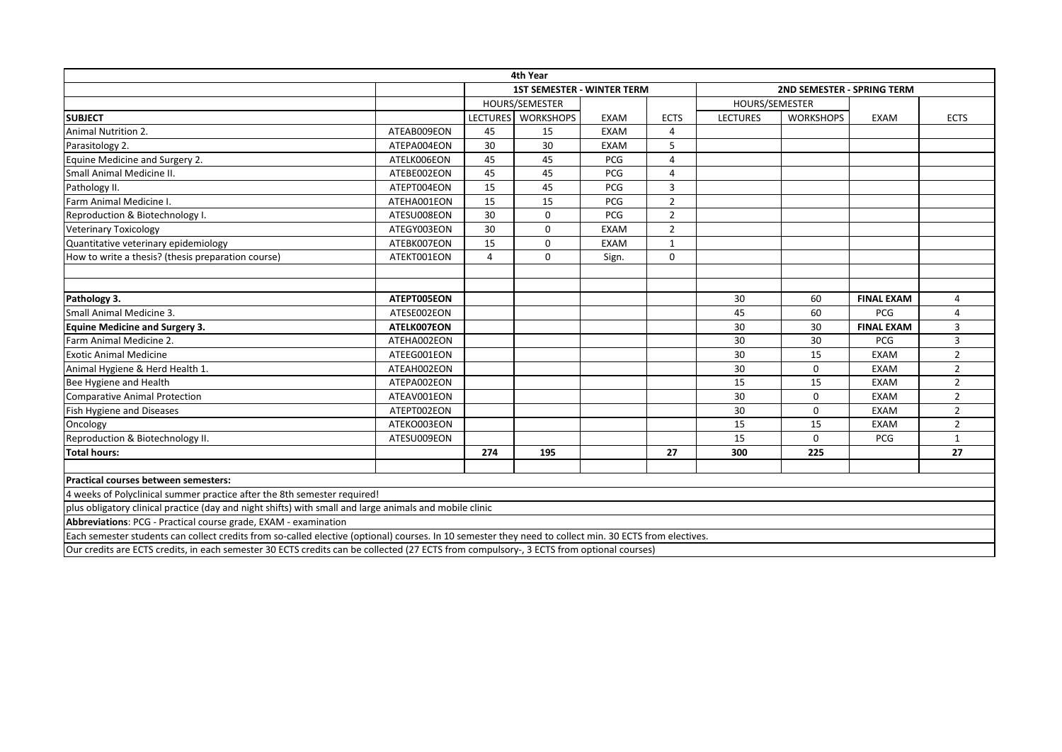|                                                                                                                                                                                                                                                                                                          |             |          | 4th Year                          |             |                |                 |                            |                   |                |
|----------------------------------------------------------------------------------------------------------------------------------------------------------------------------------------------------------------------------------------------------------------------------------------------------------|-------------|----------|-----------------------------------|-------------|----------------|-----------------|----------------------------|-------------------|----------------|
|                                                                                                                                                                                                                                                                                                          |             |          | <b>1ST SEMESTER - WINTER TERM</b> |             |                |                 | 2ND SEMESTER - SPRING TERM |                   |                |
|                                                                                                                                                                                                                                                                                                          |             |          | HOURS/SEMESTER                    |             |                | HOURS/SEMESTER  |                            |                   |                |
| <b>SUBJECT</b>                                                                                                                                                                                                                                                                                           |             | LECTURES | <b>WORKSHOPS</b>                  | <b>EXAM</b> | <b>ECTS</b>    | <b>LECTURES</b> | <b>WORKSHOPS</b>           | EXAM              | <b>ECTS</b>    |
| Animal Nutrition 2.                                                                                                                                                                                                                                                                                      | ATEAB009EON | 45       | 15                                | <b>EXAM</b> | 4              |                 |                            |                   |                |
| Parasitology 2.                                                                                                                                                                                                                                                                                          | ATEPA004EON | 30       | 30                                | <b>EXAM</b> | 5              |                 |                            |                   |                |
| Equine Medicine and Surgery 2.                                                                                                                                                                                                                                                                           | ATELK006EON | 45       | 45                                | <b>PCG</b>  | 4              |                 |                            |                   |                |
| Small Animal Medicine II.                                                                                                                                                                                                                                                                                | ATEBE002EON | 45       | 45                                | PCG         | 4              |                 |                            |                   |                |
| Pathology II.                                                                                                                                                                                                                                                                                            | ATEPT004EON | 15       | 45                                | PCG         | 3              |                 |                            |                   |                |
| Farm Animal Medicine I.                                                                                                                                                                                                                                                                                  | ATEHA001EON | 15       | 15                                | PCG         | $\overline{2}$ |                 |                            |                   |                |
| Reproduction & Biotechnology I.                                                                                                                                                                                                                                                                          | ATESU008EON | 30       | $\Omega$                          | PCG         | $\overline{2}$ |                 |                            |                   |                |
| <b>Veterinary Toxicology</b>                                                                                                                                                                                                                                                                             | ATEGY003EON | 30       | 0                                 | <b>EXAM</b> | $\overline{2}$ |                 |                            |                   |                |
| Quantitative veterinary epidemiology                                                                                                                                                                                                                                                                     | ATEBK007EON | 15       | 0                                 | <b>EXAM</b> | 1              |                 |                            |                   |                |
| How to write a thesis? (thesis preparation course)                                                                                                                                                                                                                                                       | ATEKT001EON | 4        | 0                                 | Sign.       | 0              |                 |                            |                   |                |
|                                                                                                                                                                                                                                                                                                          |             |          |                                   |             |                |                 |                            |                   |                |
|                                                                                                                                                                                                                                                                                                          |             |          |                                   |             |                |                 |                            |                   |                |
| Pathology 3.                                                                                                                                                                                                                                                                                             | ATEPT005EON |          |                                   |             |                | 30              | 60                         | <b>FINAL EXAM</b> | 4              |
| Small Animal Medicine 3.                                                                                                                                                                                                                                                                                 | ATESE002EON |          |                                   |             |                | 45              | 60                         | PCG               |                |
| <b>Equine Medicine and Surgery 3.</b>                                                                                                                                                                                                                                                                    | ATELK007EON |          |                                   |             |                | 30              | 30                         | <b>FINAL EXAM</b> | 3              |
| Farm Animal Medicine 2.                                                                                                                                                                                                                                                                                  | ATEHA002EON |          |                                   |             |                | 30              | 30                         | PCG               | 3              |
| <b>Exotic Animal Medicine</b>                                                                                                                                                                                                                                                                            | ATEEG001EON |          |                                   |             |                | 30              | 15                         | <b>EXAM</b>       | $\overline{2}$ |
| Animal Hygiene & Herd Health 1.                                                                                                                                                                                                                                                                          | ATEAH002EON |          |                                   |             |                | 30              | $\Omega$                   | <b>EXAM</b>       | $\overline{2}$ |
| Bee Hygiene and Health                                                                                                                                                                                                                                                                                   | ATEPA002EON |          |                                   |             |                | 15              | 15                         | EXAM              | $\overline{2}$ |
| <b>Comparative Animal Protection</b>                                                                                                                                                                                                                                                                     | ATEAV001EON |          |                                   |             |                | 30              | $\mathbf 0$                | EXAM              | $\overline{2}$ |
| Fish Hygiene and Diseases                                                                                                                                                                                                                                                                                | ATEPT002EON |          |                                   |             |                | 30              | $\mathbf 0$                | <b>EXAM</b>       | $\overline{2}$ |
| Oncology                                                                                                                                                                                                                                                                                                 | ATEKO003EON |          |                                   |             |                | 15              | 15                         | <b>EXAM</b>       | $\overline{2}$ |
| Reproduction & Biotechnology II.                                                                                                                                                                                                                                                                         | ATESU009EON |          |                                   |             |                | 15              | $\mathbf 0$                | PCG               | 1              |
| <b>Total hours:</b>                                                                                                                                                                                                                                                                                      |             | 274      | 195                               |             | 27             | 300             | 225                        |                   | 27             |
| Practical courses between semesters:                                                                                                                                                                                                                                                                     |             |          |                                   |             |                |                 |                            |                   |                |
| 4 weeks of Polyclinical summer practice after the 8th semester required!                                                                                                                                                                                                                                 |             |          |                                   |             |                |                 |                            |                   |                |
| plus obligatory clinical practice (day and night shifts) with small and large animals and mobile clinic                                                                                                                                                                                                  |             |          |                                   |             |                |                 |                            |                   |                |
| Abbreviations: PCG - Practical course grade, EXAM - examination                                                                                                                                                                                                                                          |             |          |                                   |             |                |                 |                            |                   |                |
| Each semester students can collect credits from so-called elective (optional) courses. In 10 semester they need to collect min. 30 ECTS from electives.                                                                                                                                                  |             |          |                                   |             |                |                 |                            |                   |                |
| $\alpha$ and $\beta$ are $\beta$ and $\beta$ and $\beta$ and $\beta$ and $\beta$ and $\beta$ and $\beta$ and $\beta$ and $\beta$ and $\beta$ and $\beta$ and $\beta$ and $\beta$ and $\beta$ and $\beta$ and $\beta$ and $\beta$ and $\beta$ and $\beta$ and $\beta$ and $\beta$ and $\beta$ and $\beta$ |             |          |                                   |             |                |                 |                            |                   |                |

Our credits are ECTS credits, in each semester 30 ECTS credits can be collected (27 ECTS from compulsory-, 3 ECTS from optional courses)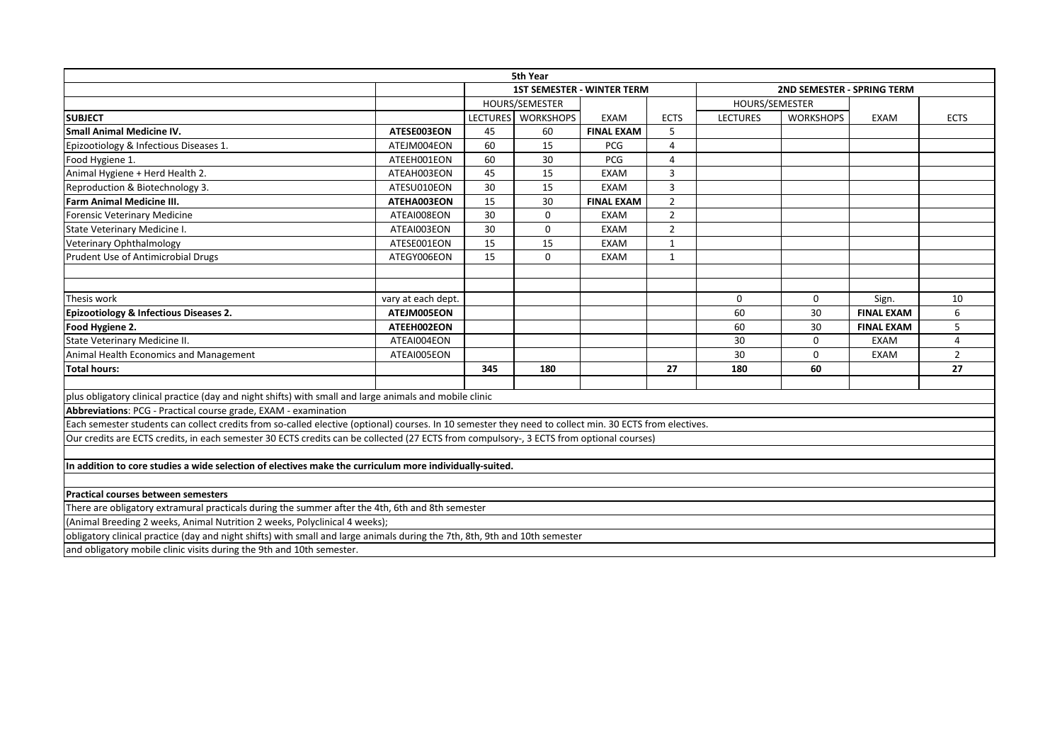| <b>1ST SEMESTER - WINTER TERM</b><br>2ND SEMESTER - SPRING TERM<br>HOURS/SEMESTER<br>HOURS/SEMESTER<br>LECTURES WORKSHOPS<br><b>SUBJECT</b><br><b>LECTURES</b><br><b>WORKSHOPS</b><br><b>EXAM</b><br><b>ECTS</b><br>EXAM<br><b>ECTS</b><br>5<br><b>Small Animal Medicine IV.</b><br>45<br>60<br><b>FINAL EXAM</b><br>ATESE003EON<br>15<br>60<br>Epizootiology & Infectious Diseases 1.<br>ATEJM004EON<br><b>PCG</b><br>$\overline{4}$<br>Food Hygiene 1.<br>ATEEH001EON<br>60<br>30<br>PCG<br>4<br>Animal Hygiene + Herd Health 2.<br>3<br>ATEAH003EON<br>45<br>15<br><b>EXAM</b><br>Reproduction & Biotechnology 3.<br>ATESU010EON<br>30<br>15<br>3<br><b>EXAM</b><br><b>Farm Animal Medicine III.</b><br>30<br>$\overline{2}$<br>ATEHA003EON<br>15<br><b>FINAL EXAM</b><br>30<br>0<br>$\overline{2}$<br>Forensic Veterinary Medicine<br>ATEAI008EON<br><b>EXAM</b><br>30<br>0<br>$\overline{2}$<br>State Veterinary Medicine I.<br>ATEAI003EON<br><b>EXAM</b><br>15<br>15<br>ATESE001EON<br><b>EXAM</b><br>Veterinary Ophthalmology<br>$\mathbf{1}$<br>Prudent Use of Antimicrobial Drugs<br>$\mathbf 0$<br>ATEGY006EON<br>15<br><b>EXAM</b><br>1<br>Thesis work<br>vary at each dept.<br>$\mathbf 0$<br>0<br>Sign.<br>10<br>Epizootiology & Infectious Diseases 2.<br>ATEJM005EON<br><b>FINAL EXAM</b><br>6<br>60<br>30<br>Food Hygiene 2.<br>ATEEH002EON<br><b>FINAL EXAM</b><br>60<br>30<br>5<br>State Veterinary Medicine II.<br>ATEAI004EON<br>30<br>$\Omega$<br><b>EXAM</b><br>4<br>30<br>$\overline{2}$<br>Animal Health Economics and Management<br>ATEAI005EON<br>$\Omega$<br><b>EXAM</b><br><b>Total hours:</b><br>180<br>27<br>345<br>27<br>180<br>60<br>plus obligatory clinical practice (day and night shifts) with small and large animals and mobile clinic<br>Abbreviations: PCG - Practical course grade, EXAM - examination<br>Each semester students can collect credits from so-called elective (optional) courses. In 10 semester they need to collect min. 30 ECTS from electives.<br>Our credits are ECTS credits, in each semester 30 ECTS credits can be collected (27 ECTS from compulsory-, 3 ECTS from optional courses)<br>In addition to core studies a wide selection of electives make the curriculum more individually-suited. |  | 5th Year |  |  |  |
|--------------------------------------------------------------------------------------------------------------------------------------------------------------------------------------------------------------------------------------------------------------------------------------------------------------------------------------------------------------------------------------------------------------------------------------------------------------------------------------------------------------------------------------------------------------------------------------------------------------------------------------------------------------------------------------------------------------------------------------------------------------------------------------------------------------------------------------------------------------------------------------------------------------------------------------------------------------------------------------------------------------------------------------------------------------------------------------------------------------------------------------------------------------------------------------------------------------------------------------------------------------------------------------------------------------------------------------------------------------------------------------------------------------------------------------------------------------------------------------------------------------------------------------------------------------------------------------------------------------------------------------------------------------------------------------------------------------------------------------------------------------------------------------------------------------------------------------------------------------------------------------------------------------------------------------------------------------------------------------------------------------------------------------------------------------------------------------------------------------------------------------------------------------------------------------------------------------------------------------------------------------------|--|----------|--|--|--|
|                                                                                                                                                                                                                                                                                                                                                                                                                                                                                                                                                                                                                                                                                                                                                                                                                                                                                                                                                                                                                                                                                                                                                                                                                                                                                                                                                                                                                                                                                                                                                                                                                                                                                                                                                                                                                                                                                                                                                                                                                                                                                                                                                                                                                                                                    |  |          |  |  |  |
|                                                                                                                                                                                                                                                                                                                                                                                                                                                                                                                                                                                                                                                                                                                                                                                                                                                                                                                                                                                                                                                                                                                                                                                                                                                                                                                                                                                                                                                                                                                                                                                                                                                                                                                                                                                                                                                                                                                                                                                                                                                                                                                                                                                                                                                                    |  |          |  |  |  |
|                                                                                                                                                                                                                                                                                                                                                                                                                                                                                                                                                                                                                                                                                                                                                                                                                                                                                                                                                                                                                                                                                                                                                                                                                                                                                                                                                                                                                                                                                                                                                                                                                                                                                                                                                                                                                                                                                                                                                                                                                                                                                                                                                                                                                                                                    |  |          |  |  |  |
|                                                                                                                                                                                                                                                                                                                                                                                                                                                                                                                                                                                                                                                                                                                                                                                                                                                                                                                                                                                                                                                                                                                                                                                                                                                                                                                                                                                                                                                                                                                                                                                                                                                                                                                                                                                                                                                                                                                                                                                                                                                                                                                                                                                                                                                                    |  |          |  |  |  |
|                                                                                                                                                                                                                                                                                                                                                                                                                                                                                                                                                                                                                                                                                                                                                                                                                                                                                                                                                                                                                                                                                                                                                                                                                                                                                                                                                                                                                                                                                                                                                                                                                                                                                                                                                                                                                                                                                                                                                                                                                                                                                                                                                                                                                                                                    |  |          |  |  |  |
|                                                                                                                                                                                                                                                                                                                                                                                                                                                                                                                                                                                                                                                                                                                                                                                                                                                                                                                                                                                                                                                                                                                                                                                                                                                                                                                                                                                                                                                                                                                                                                                                                                                                                                                                                                                                                                                                                                                                                                                                                                                                                                                                                                                                                                                                    |  |          |  |  |  |
|                                                                                                                                                                                                                                                                                                                                                                                                                                                                                                                                                                                                                                                                                                                                                                                                                                                                                                                                                                                                                                                                                                                                                                                                                                                                                                                                                                                                                                                                                                                                                                                                                                                                                                                                                                                                                                                                                                                                                                                                                                                                                                                                                                                                                                                                    |  |          |  |  |  |
|                                                                                                                                                                                                                                                                                                                                                                                                                                                                                                                                                                                                                                                                                                                                                                                                                                                                                                                                                                                                                                                                                                                                                                                                                                                                                                                                                                                                                                                                                                                                                                                                                                                                                                                                                                                                                                                                                                                                                                                                                                                                                                                                                                                                                                                                    |  |          |  |  |  |
|                                                                                                                                                                                                                                                                                                                                                                                                                                                                                                                                                                                                                                                                                                                                                                                                                                                                                                                                                                                                                                                                                                                                                                                                                                                                                                                                                                                                                                                                                                                                                                                                                                                                                                                                                                                                                                                                                                                                                                                                                                                                                                                                                                                                                                                                    |  |          |  |  |  |
|                                                                                                                                                                                                                                                                                                                                                                                                                                                                                                                                                                                                                                                                                                                                                                                                                                                                                                                                                                                                                                                                                                                                                                                                                                                                                                                                                                                                                                                                                                                                                                                                                                                                                                                                                                                                                                                                                                                                                                                                                                                                                                                                                                                                                                                                    |  |          |  |  |  |
|                                                                                                                                                                                                                                                                                                                                                                                                                                                                                                                                                                                                                                                                                                                                                                                                                                                                                                                                                                                                                                                                                                                                                                                                                                                                                                                                                                                                                                                                                                                                                                                                                                                                                                                                                                                                                                                                                                                                                                                                                                                                                                                                                                                                                                                                    |  |          |  |  |  |
|                                                                                                                                                                                                                                                                                                                                                                                                                                                                                                                                                                                                                                                                                                                                                                                                                                                                                                                                                                                                                                                                                                                                                                                                                                                                                                                                                                                                                                                                                                                                                                                                                                                                                                                                                                                                                                                                                                                                                                                                                                                                                                                                                                                                                                                                    |  |          |  |  |  |
|                                                                                                                                                                                                                                                                                                                                                                                                                                                                                                                                                                                                                                                                                                                                                                                                                                                                                                                                                                                                                                                                                                                                                                                                                                                                                                                                                                                                                                                                                                                                                                                                                                                                                                                                                                                                                                                                                                                                                                                                                                                                                                                                                                                                                                                                    |  |          |  |  |  |
|                                                                                                                                                                                                                                                                                                                                                                                                                                                                                                                                                                                                                                                                                                                                                                                                                                                                                                                                                                                                                                                                                                                                                                                                                                                                                                                                                                                                                                                                                                                                                                                                                                                                                                                                                                                                                                                                                                                                                                                                                                                                                                                                                                                                                                                                    |  |          |  |  |  |
|                                                                                                                                                                                                                                                                                                                                                                                                                                                                                                                                                                                                                                                                                                                                                                                                                                                                                                                                                                                                                                                                                                                                                                                                                                                                                                                                                                                                                                                                                                                                                                                                                                                                                                                                                                                                                                                                                                                                                                                                                                                                                                                                                                                                                                                                    |  |          |  |  |  |
|                                                                                                                                                                                                                                                                                                                                                                                                                                                                                                                                                                                                                                                                                                                                                                                                                                                                                                                                                                                                                                                                                                                                                                                                                                                                                                                                                                                                                                                                                                                                                                                                                                                                                                                                                                                                                                                                                                                                                                                                                                                                                                                                                                                                                                                                    |  |          |  |  |  |
|                                                                                                                                                                                                                                                                                                                                                                                                                                                                                                                                                                                                                                                                                                                                                                                                                                                                                                                                                                                                                                                                                                                                                                                                                                                                                                                                                                                                                                                                                                                                                                                                                                                                                                                                                                                                                                                                                                                                                                                                                                                                                                                                                                                                                                                                    |  |          |  |  |  |
|                                                                                                                                                                                                                                                                                                                                                                                                                                                                                                                                                                                                                                                                                                                                                                                                                                                                                                                                                                                                                                                                                                                                                                                                                                                                                                                                                                                                                                                                                                                                                                                                                                                                                                                                                                                                                                                                                                                                                                                                                                                                                                                                                                                                                                                                    |  |          |  |  |  |
|                                                                                                                                                                                                                                                                                                                                                                                                                                                                                                                                                                                                                                                                                                                                                                                                                                                                                                                                                                                                                                                                                                                                                                                                                                                                                                                                                                                                                                                                                                                                                                                                                                                                                                                                                                                                                                                                                                                                                                                                                                                                                                                                                                                                                                                                    |  |          |  |  |  |
|                                                                                                                                                                                                                                                                                                                                                                                                                                                                                                                                                                                                                                                                                                                                                                                                                                                                                                                                                                                                                                                                                                                                                                                                                                                                                                                                                                                                                                                                                                                                                                                                                                                                                                                                                                                                                                                                                                                                                                                                                                                                                                                                                                                                                                                                    |  |          |  |  |  |
|                                                                                                                                                                                                                                                                                                                                                                                                                                                                                                                                                                                                                                                                                                                                                                                                                                                                                                                                                                                                                                                                                                                                                                                                                                                                                                                                                                                                                                                                                                                                                                                                                                                                                                                                                                                                                                                                                                                                                                                                                                                                                                                                                                                                                                                                    |  |          |  |  |  |
|                                                                                                                                                                                                                                                                                                                                                                                                                                                                                                                                                                                                                                                                                                                                                                                                                                                                                                                                                                                                                                                                                                                                                                                                                                                                                                                                                                                                                                                                                                                                                                                                                                                                                                                                                                                                                                                                                                                                                                                                                                                                                                                                                                                                                                                                    |  |          |  |  |  |
|                                                                                                                                                                                                                                                                                                                                                                                                                                                                                                                                                                                                                                                                                                                                                                                                                                                                                                                                                                                                                                                                                                                                                                                                                                                                                                                                                                                                                                                                                                                                                                                                                                                                                                                                                                                                                                                                                                                                                                                                                                                                                                                                                                                                                                                                    |  |          |  |  |  |
|                                                                                                                                                                                                                                                                                                                                                                                                                                                                                                                                                                                                                                                                                                                                                                                                                                                                                                                                                                                                                                                                                                                                                                                                                                                                                                                                                                                                                                                                                                                                                                                                                                                                                                                                                                                                                                                                                                                                                                                                                                                                                                                                                                                                                                                                    |  |          |  |  |  |
|                                                                                                                                                                                                                                                                                                                                                                                                                                                                                                                                                                                                                                                                                                                                                                                                                                                                                                                                                                                                                                                                                                                                                                                                                                                                                                                                                                                                                                                                                                                                                                                                                                                                                                                                                                                                                                                                                                                                                                                                                                                                                                                                                                                                                                                                    |  |          |  |  |  |
|                                                                                                                                                                                                                                                                                                                                                                                                                                                                                                                                                                                                                                                                                                                                                                                                                                                                                                                                                                                                                                                                                                                                                                                                                                                                                                                                                                                                                                                                                                                                                                                                                                                                                                                                                                                                                                                                                                                                                                                                                                                                                                                                                                                                                                                                    |  |          |  |  |  |
|                                                                                                                                                                                                                                                                                                                                                                                                                                                                                                                                                                                                                                                                                                                                                                                                                                                                                                                                                                                                                                                                                                                                                                                                                                                                                                                                                                                                                                                                                                                                                                                                                                                                                                                                                                                                                                                                                                                                                                                                                                                                                                                                                                                                                                                                    |  |          |  |  |  |
| Practical courses between semesters                                                                                                                                                                                                                                                                                                                                                                                                                                                                                                                                                                                                                                                                                                                                                                                                                                                                                                                                                                                                                                                                                                                                                                                                                                                                                                                                                                                                                                                                                                                                                                                                                                                                                                                                                                                                                                                                                                                                                                                                                                                                                                                                                                                                                                |  |          |  |  |  |
| There are obligatory extramural practicals during the summer after the 4th, 6th and 8th semester                                                                                                                                                                                                                                                                                                                                                                                                                                                                                                                                                                                                                                                                                                                                                                                                                                                                                                                                                                                                                                                                                                                                                                                                                                                                                                                                                                                                                                                                                                                                                                                                                                                                                                                                                                                                                                                                                                                                                                                                                                                                                                                                                                   |  |          |  |  |  |
| (Animal Breeding 2 weeks, Animal Nutrition 2 weeks, Polyclinical 4 weeks);                                                                                                                                                                                                                                                                                                                                                                                                                                                                                                                                                                                                                                                                                                                                                                                                                                                                                                                                                                                                                                                                                                                                                                                                                                                                                                                                                                                                                                                                                                                                                                                                                                                                                                                                                                                                                                                                                                                                                                                                                                                                                                                                                                                         |  |          |  |  |  |
| obligatory clinical practice (day and night shifts) with small and large animals during the 7th, 8th, 9th and 10th semester                                                                                                                                                                                                                                                                                                                                                                                                                                                                                                                                                                                                                                                                                                                                                                                                                                                                                                                                                                                                                                                                                                                                                                                                                                                                                                                                                                                                                                                                                                                                                                                                                                                                                                                                                                                                                                                                                                                                                                                                                                                                                                                                        |  |          |  |  |  |
| and obligatory mobile clinic visits during the 9th and 10th semester.                                                                                                                                                                                                                                                                                                                                                                                                                                                                                                                                                                                                                                                                                                                                                                                                                                                                                                                                                                                                                                                                                                                                                                                                                                                                                                                                                                                                                                                                                                                                                                                                                                                                                                                                                                                                                                                                                                                                                                                                                                                                                                                                                                                              |  |          |  |  |  |